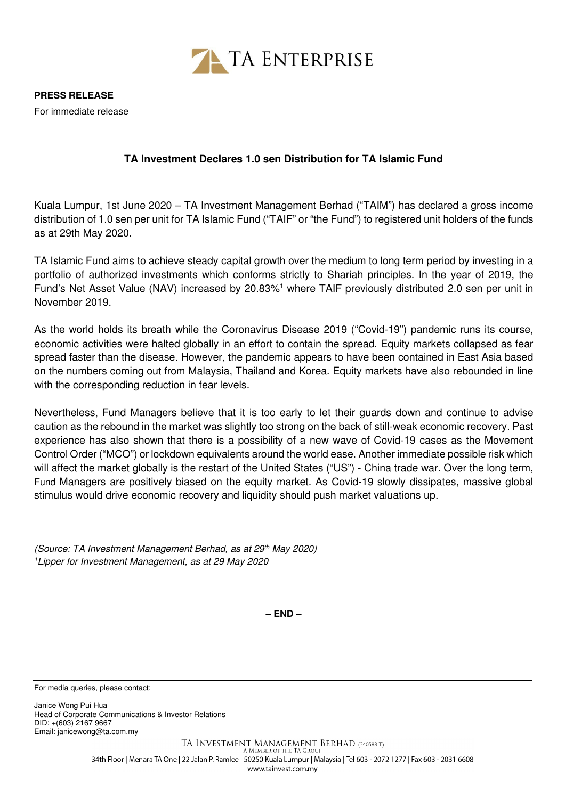

**PRESS RELEASE** 

For immediate release

## **TA Investment Declares 1.0 sen Distribution for TA Islamic Fund**

Kuala Lumpur, 1st June 2020 – TA Investment Management Berhad ("TAIM") has declared a gross income distribution of 1.0 sen per unit for TA Islamic Fund ("TAIF" or "the Fund") to registered unit holders of the funds as at 29th May 2020.

TA Islamic Fund aims to achieve steady capital growth over the medium to long term period by investing in a portfolio of authorized investments which conforms strictly to Shariah principles. In the year of 2019, the Fund's Net Asset Value (NAV) increased by 20.83%<sup>1</sup> where TAIF previously distributed 2.0 sen per unit in November 2019.

As the world holds its breath while the Coronavirus Disease 2019 ("Covid-19") pandemic runs its course, economic activities were halted globally in an effort to contain the spread. Equity markets collapsed as fear spread faster than the disease. However, the pandemic appears to have been contained in East Asia based on the numbers coming out from Malaysia, Thailand and Korea. Equity markets have also rebounded in line with the corresponding reduction in fear levels.

Nevertheless, Fund Managers believe that it is too early to let their guards down and continue to advise caution as the rebound in the market was slightly too strong on the back of still-weak economic recovery. Past experience has also shown that there is a possibility of a new wave of Covid-19 cases as the Movement Control Order ("MCO") or lockdown equivalents around the world ease. Another immediate possible risk which will affect the market globally is the restart of the United States ("US") - China trade war. Over the long term, Fund Managers are positively biased on the equity market. As Covid-19 slowly dissipates, massive global stimulus would drive economic recovery and liquidity should push market valuations up.

(Source: TA Investment Management Berhad, as at 29th May 2020) <sup>1</sup>Lipper for Investment Management, as at 29 May 2020

**– END –**

For media queries, please contact:

Janice Wong Pui Hua Head of Corporate Communications & Investor Relations DID: +(603) 2167 9667 Email: janicewong@ta.com.my